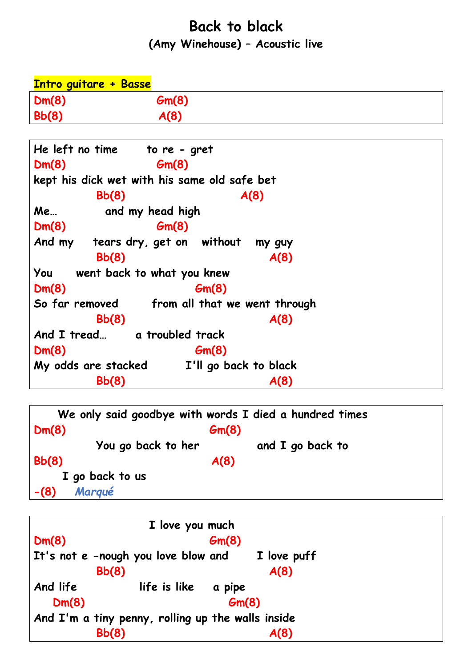## **Back to black (Amy Winehouse) – Acoustic live**

| <b>Intro guitare + Basse</b>                 |       |  |  |  |
|----------------------------------------------|-------|--|--|--|
| Dm(8)                                        | Gm(8) |  |  |  |
| Bb(8)                                        | A(8)  |  |  |  |
|                                              |       |  |  |  |
| He left no time to re - gret                 |       |  |  |  |
| Dm(8)                                        | Gm(8) |  |  |  |
| kept his dick wet with his same old safe bet |       |  |  |  |
| Bb(8)                                        | A(8)  |  |  |  |
| Me<br>and my head high                       |       |  |  |  |
| Dm(8)                                        | Gm(8) |  |  |  |
| And my tears dry, get on without<br>my guy   |       |  |  |  |
| Bb(8)                                        | A(8)  |  |  |  |
| You<br>went back to what you knew            |       |  |  |  |
| Dm(8)                                        | Gm(8) |  |  |  |
| So far removed from all that we went through |       |  |  |  |
| Bb(8)                                        | A(8)  |  |  |  |
| And I tread a troubled track                 |       |  |  |  |
| Dm(8)                                        | Gm(8) |  |  |  |
| My odds are stacked<br>I'll go back to black |       |  |  |  |
| Bb(8)                                        | A(8)  |  |  |  |

```
 We only said goodbye with words I died a hundred times
Dm(8) Gm(8)
        You go back to her and I go back to
Bb(8) A(8) I go back to us
-(8) Marqué
```
 **I love you much Dm(8) Gm(8) It's not e -nough you love blow and I love puff Bb(8)**  $A(8)$ **And life life is like a pipe Dm(8)** Gm(8) **And I'm a tiny penny, rolling up the walls inside Bb(8)**  $A(8)$